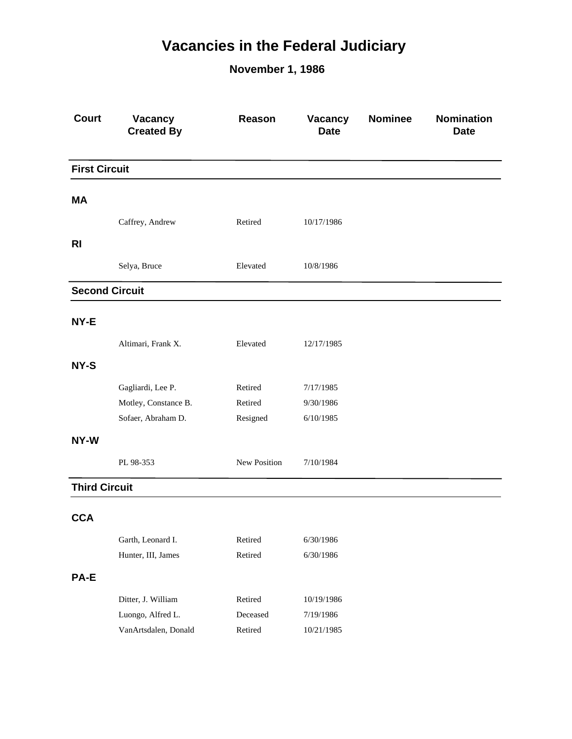## **Vacancies in the Federal Judiciary**

**November 1, 1986**

| <b>Court</b>          | Vacancy<br><b>Created By</b> | Reason       | Vacancy<br><b>Date</b> | <b>Nominee</b> | Nomination<br><b>Date</b> |
|-----------------------|------------------------------|--------------|------------------------|----------------|---------------------------|
| <b>First Circuit</b>  |                              |              |                        |                |                           |
| <b>MA</b>             |                              |              |                        |                |                           |
|                       |                              |              |                        |                |                           |
|                       | Caffrey, Andrew              | Retired      | 10/17/1986             |                |                           |
| <b>RI</b>             |                              |              |                        |                |                           |
|                       | Selya, Bruce                 | Elevated     | 10/8/1986              |                |                           |
| <b>Second Circuit</b> |                              |              |                        |                |                           |
| NY-E                  |                              |              |                        |                |                           |
|                       | Altimari, Frank X.           | Elevated     | 12/17/1985             |                |                           |
| NY-S                  |                              |              |                        |                |                           |
|                       | Gagliardi, Lee P.            | Retired      | 7/17/1985              |                |                           |
|                       | Motley, Constance B.         | Retired      | 9/30/1986              |                |                           |
|                       | Sofaer, Abraham D.           | Resigned     | 6/10/1985              |                |                           |
| NY-W                  |                              |              |                        |                |                           |
|                       | PL 98-353                    | New Position | 7/10/1984              |                |                           |
| <b>Third Circuit</b>  |                              |              |                        |                |                           |
| <b>CCA</b>            |                              |              |                        |                |                           |
|                       | Garth, Leonard I.            | Retired      | 6/30/1986              |                |                           |
|                       | Hunter, III, James           | Retired      | 6/30/1986              |                |                           |
|                       |                              |              |                        |                |                           |
| PA-E                  |                              |              |                        |                |                           |
|                       | Ditter, J. William           | Retired      | 10/19/1986             |                |                           |
|                       | Luongo, Alfred L.            | Deceased     | 7/19/1986              |                |                           |
|                       | VanArtsdalen, Donald         | Retired      | 10/21/1985             |                |                           |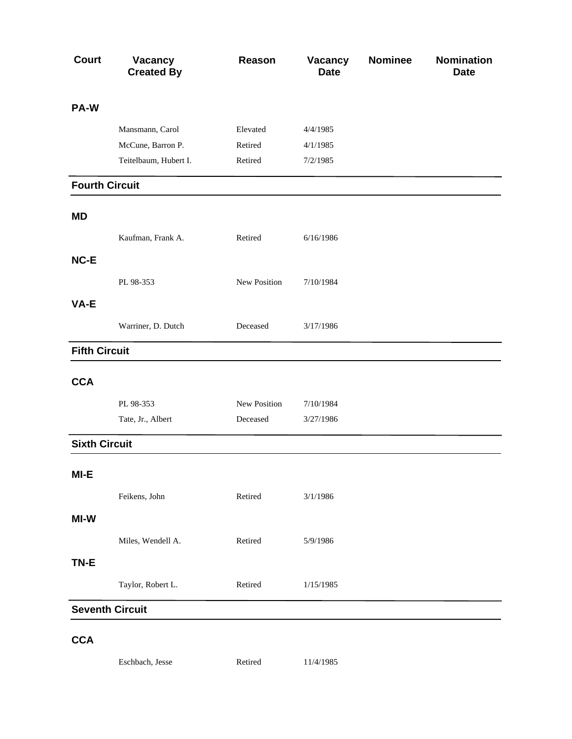| <b>Court</b>          | <b>Vacancy</b><br><b>Created By</b> | Reason       | Vacancy<br><b>Date</b> | <b>Nominee</b> | <b>Nomination</b><br><b>Date</b> |
|-----------------------|-------------------------------------|--------------|------------------------|----------------|----------------------------------|
| PA-W                  |                                     |              |                        |                |                                  |
|                       | Mansmann, Carol                     | Elevated     | 4/4/1985               |                |                                  |
|                       | McCune, Barron P.                   | Retired      | 4/1/1985               |                |                                  |
|                       | Teitelbaum, Hubert I.               | Retired      | 7/2/1985               |                |                                  |
| <b>Fourth Circuit</b> |                                     |              |                        |                |                                  |
| <b>MD</b>             |                                     |              |                        |                |                                  |
|                       | Kaufman, Frank A.                   | Retired      | 6/16/1986              |                |                                  |
| NC-E                  |                                     |              |                        |                |                                  |
|                       | PL 98-353                           | New Position | 7/10/1984              |                |                                  |
| VA-E                  |                                     |              |                        |                |                                  |
|                       | Warriner, D. Dutch                  | Deceased     | 3/17/1986              |                |                                  |
| <b>Fifth Circuit</b>  |                                     |              |                        |                |                                  |
| <b>CCA</b>            |                                     |              |                        |                |                                  |
|                       | PL 98-353                           | New Position | 7/10/1984              |                |                                  |
|                       | Tate, Jr., Albert                   | Deceased     | 3/27/1986              |                |                                  |
| <b>Sixth Circuit</b>  |                                     |              |                        |                |                                  |
| MI-E                  |                                     |              |                        |                |                                  |
|                       | Feikens, John                       | Retired      | 3/1/1986               |                |                                  |
| MI-W                  |                                     |              |                        |                |                                  |
|                       | Miles, Wendell A.                   | Retired      | 5/9/1986               |                |                                  |
| TN-E                  |                                     |              |                        |                |                                  |
|                       | Taylor, Robert L.                   | Retired      | 1/15/1985              |                |                                  |
|                       | <b>Seventh Circuit</b>              |              |                        |                |                                  |
| <b>CCA</b>            |                                     |              |                        |                |                                  |
|                       | Eschbach, Jesse                     | Retired      | 11/4/1985              |                |                                  |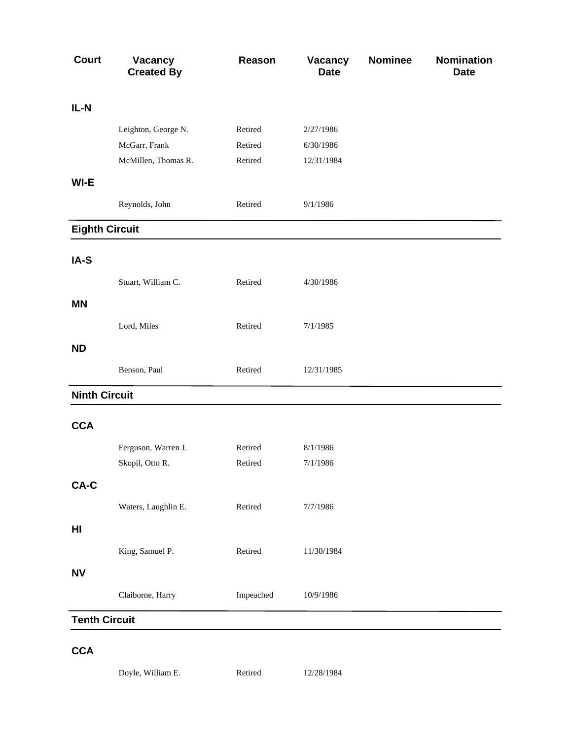| <b>Court</b>          | <b>Vacancy</b><br><b>Created By</b> | Reason    | Vacancy<br><b>Date</b> | <b>Nominee</b> | <b>Nomination</b><br><b>Date</b> |
|-----------------------|-------------------------------------|-----------|------------------------|----------------|----------------------------------|
| IL-N                  |                                     |           |                        |                |                                  |
|                       | Leighton, George N.                 | Retired   | 2/27/1986              |                |                                  |
|                       | McGarr, Frank                       | Retired   | 6/30/1986              |                |                                  |
|                       | McMillen, Thomas R.                 | Retired   | 12/31/1984             |                |                                  |
| WI-E                  |                                     |           |                        |                |                                  |
|                       | Reynolds, John                      | Retired   | 9/1/1986               |                |                                  |
| <b>Eighth Circuit</b> |                                     |           |                        |                |                                  |
| IA-S                  |                                     |           |                        |                |                                  |
|                       | Stuart, William C.                  | Retired   | 4/30/1986              |                |                                  |
| <b>MN</b>             |                                     |           |                        |                |                                  |
|                       | Lord, Miles                         | Retired   | 7/1/1985               |                |                                  |
| <b>ND</b>             |                                     |           |                        |                |                                  |
|                       | Benson, Paul                        | Retired   | 12/31/1985             |                |                                  |
| <b>Ninth Circuit</b>  |                                     |           |                        |                |                                  |
| <b>CCA</b>            |                                     |           |                        |                |                                  |
|                       | Ferguson, Warren J.                 | Retired   | 8/1/1986               |                |                                  |
|                       | Skopil, Otto R.                     | Retired   | 7/1/1986               |                |                                  |
| CA-C                  |                                     |           |                        |                |                                  |
|                       | Waters, Laughlin E.                 | Retired   | 7/7/1986               |                |                                  |
| HI                    |                                     |           |                        |                |                                  |
|                       | King, Samuel P.                     | Retired   | 11/30/1984             |                |                                  |
| <b>NV</b>             |                                     |           |                        |                |                                  |
|                       | Claiborne, Harry                    | Impeached | 10/9/1986              |                |                                  |
| <b>Tenth Circuit</b>  |                                     |           |                        |                |                                  |
| <b>CCA</b>            |                                     |           |                        |                |                                  |

Doyle, William E. 12/28/1984 Retired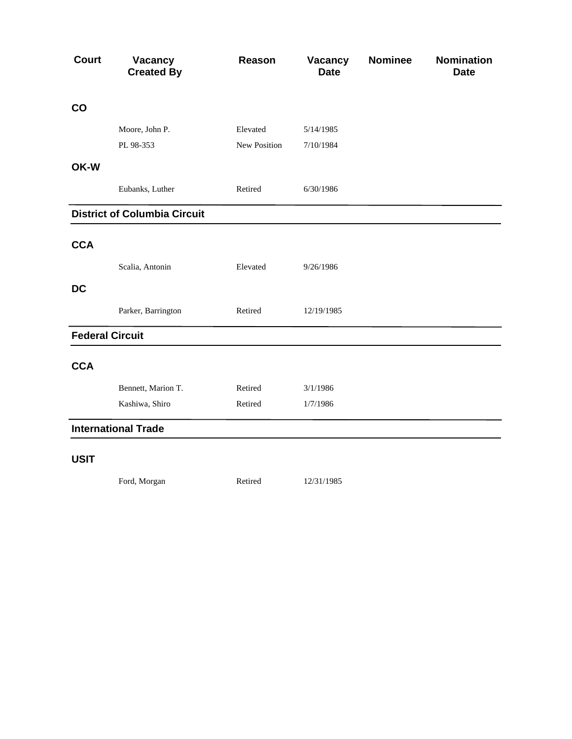| <b>Court</b>           | Vacancy<br><b>Created By</b>        | Reason       | Vacancy<br><b>Date</b> | <b>Nominee</b> | <b>Nomination</b><br><b>Date</b> |
|------------------------|-------------------------------------|--------------|------------------------|----------------|----------------------------------|
| CO                     |                                     |              |                        |                |                                  |
|                        | Moore, John P.                      | Elevated     | 5/14/1985              |                |                                  |
|                        | PL 98-353                           | New Position | 7/10/1984              |                |                                  |
| OK-W                   |                                     |              |                        |                |                                  |
|                        | Eubanks, Luther                     | Retired      | 6/30/1986              |                |                                  |
|                        | <b>District of Columbia Circuit</b> |              |                        |                |                                  |
| <b>CCA</b>             |                                     |              |                        |                |                                  |
|                        | Scalia, Antonin                     | Elevated     | 9/26/1986              |                |                                  |
| <b>DC</b>              |                                     |              |                        |                |                                  |
|                        | Parker, Barrington                  | Retired      | 12/19/1985             |                |                                  |
| <b>Federal Circuit</b> |                                     |              |                        |                |                                  |
| <b>CCA</b>             |                                     |              |                        |                |                                  |
|                        | Bennett, Marion T.                  | Retired      | 3/1/1986               |                |                                  |
|                        | Kashiwa, Shiro                      | Retired      | 1/7/1986               |                |                                  |
|                        | <b>International Trade</b>          |              |                        |                |                                  |
| <b>USIT</b>            |                                     |              |                        |                |                                  |
|                        | Ford, Morgan                        | Retired      | 12/31/1985             |                |                                  |